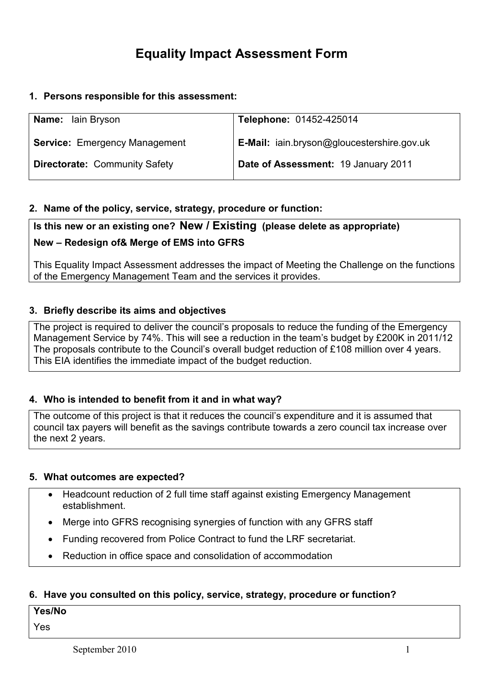# Equality Impact Assessment Form

## 1. Persons responsible for this assessment:

| <b>Name:</b> Iain Bryson             | Telephone: 01452-425014                    |
|--------------------------------------|--------------------------------------------|
| <b>Service: Emergency Management</b> | E-Mail: iain.bryson@gloucestershire.gov.uk |
| <b>Directorate: Community Safety</b> | Date of Assessment: 19 January 2011        |

## 2. Name of the policy, service, strategy, procedure or function:

# Is this new or an existing one? New / Existing (please delete as appropriate)

## New – Redesign of& Merge of EMS into GFRS

This Equality Impact Assessment addresses the impact of Meeting the Challenge on the functions of the Emergency Management Team and the services it provides.

## 3. Briefly describe its aims and objectives

The project is required to deliver the council's proposals to reduce the funding of the Emergency Management Service by 74%. This will see a reduction in the team's budget by £200K in 2011/12 The proposals contribute to the Council's overall budget reduction of £108 million over 4 years. This EIA identifies the immediate impact of the budget reduction.

## 4. Who is intended to benefit from it and in what way?

The outcome of this project is that it reduces the council's expenditure and it is assumed that council tax payers will benefit as the savings contribute towards a zero council tax increase over the next 2 years.

#### 5. What outcomes are expected?

- Headcount reduction of 2 full time staff against existing Emergency Management establishment.
- Merge into GFRS recognising synergies of function with any GFRS staff
- Funding recovered from Police Contract to fund the LRF secretariat.
- Reduction in office space and consolidation of accommodation

## 6. Have you consulted on this policy, service, strategy, procedure or function?

#### Yes/No

Yes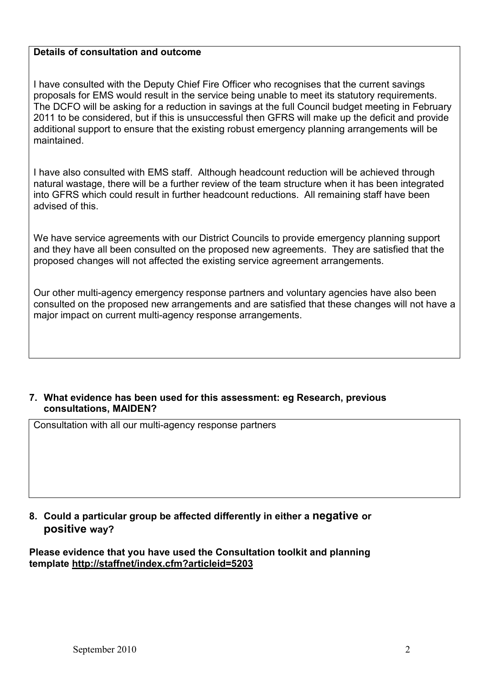## Details of consultation and outcome

I have consulted with the Deputy Chief Fire Officer who recognises that the current savings proposals for EMS would result in the service being unable to meet its statutory requirements. The DCFO will be asking for a reduction in savings at the full Council budget meeting in February 2011 to be considered, but if this is unsuccessful then GFRS will make up the deficit and provide additional support to ensure that the existing robust emergency planning arrangements will be maintained.

I have also consulted with EMS staff. Although headcount reduction will be achieved through natural wastage, there will be a further review of the team structure when it has been integrated into GFRS which could result in further headcount reductions. All remaining staff have been advised of this.

We have service agreements with our District Councils to provide emergency planning support and they have all been consulted on the proposed new agreements. They are satisfied that the proposed changes will not affected the existing service agreement arrangements.

Our other multi-agency emergency response partners and voluntary agencies have also been consulted on the proposed new arrangements and are satisfied that these changes will not have a major impact on current multi-agency response arrangements.

## 7. What evidence has been used for this assessment: eg Research, previous consultations, MAIDEN?

Consultation with all our multi-agency response partners

## 8. Could a particular group be affected differently in either a negative or positive way?

Please evidence that you have used the Consultation toolkit and planning template http://staffnet/index.cfm?articleid=5203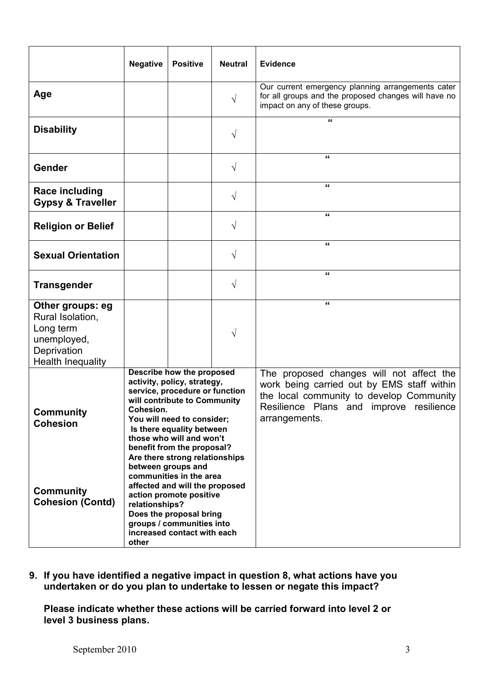|                                                                                                             | <b>Negative</b>                                                                                                                                                                                                                                                                                                                                                                                                                                                                                                                | <b>Positive</b> | <b>Neutral</b> | <b>Evidence</b>                                                                                                                                                                                |  |  |
|-------------------------------------------------------------------------------------------------------------|--------------------------------------------------------------------------------------------------------------------------------------------------------------------------------------------------------------------------------------------------------------------------------------------------------------------------------------------------------------------------------------------------------------------------------------------------------------------------------------------------------------------------------|-----------------|----------------|------------------------------------------------------------------------------------------------------------------------------------------------------------------------------------------------|--|--|
| Age                                                                                                         |                                                                                                                                                                                                                                                                                                                                                                                                                                                                                                                                |                 | $\sqrt{}$      | Our current emergency planning arrangements cater<br>for all groups and the proposed changes will have no<br>impact on any of these groups.                                                    |  |  |
| <b>Disability</b>                                                                                           |                                                                                                                                                                                                                                                                                                                                                                                                                                                                                                                                |                 | V              | "                                                                                                                                                                                              |  |  |
| Gender                                                                                                      |                                                                                                                                                                                                                                                                                                                                                                                                                                                                                                                                |                 | V              | "                                                                                                                                                                                              |  |  |
| <b>Race including</b><br><b>Gypsy &amp; Traveller</b>                                                       |                                                                                                                                                                                                                                                                                                                                                                                                                                                                                                                                |                 | V              | "                                                                                                                                                                                              |  |  |
| <b>Religion or Belief</b>                                                                                   |                                                                                                                                                                                                                                                                                                                                                                                                                                                                                                                                |                 | V              | "                                                                                                                                                                                              |  |  |
| <b>Sexual Orientation</b>                                                                                   |                                                                                                                                                                                                                                                                                                                                                                                                                                                                                                                                |                 | V              | "                                                                                                                                                                                              |  |  |
| <b>Transgender</b>                                                                                          |                                                                                                                                                                                                                                                                                                                                                                                                                                                                                                                                |                 | V              | "                                                                                                                                                                                              |  |  |
| Other groups: eg<br>Rural Isolation,<br>Long term<br>unemployed,<br>Deprivation<br><b>Health Inequality</b> |                                                                                                                                                                                                                                                                                                                                                                                                                                                                                                                                |                 | V              | "                                                                                                                                                                                              |  |  |
| Community<br><b>Cohesion</b><br><b>Community</b><br><b>Cohesion (Contd)</b>                                 | Describe how the proposed<br>activity, policy, strategy,<br>service, procedure or function<br>will contribute to Community<br>Cohesion.<br>You will need to consider;<br>Is there equality between<br>those who will and won't<br>benefit from the proposal?<br>Are there strong relationships<br>between groups and<br>communities in the area<br>affected and will the proposed<br>action promote positive<br>relationships?<br>Does the proposal bring<br>groups / communities into<br>increased contact with each<br>other |                 |                | The proposed changes will not affect the<br>work being carried out by EMS staff within<br>the local community to develop Community<br>Resilience Plans and improve resilience<br>arrangements. |  |  |

9. If you have identified a negative impact in question 8, what actions have you undertaken or do you plan to undertake to lessen or negate this impact?

Please indicate whether these actions will be carried forward into level 2 or level 3 business plans.